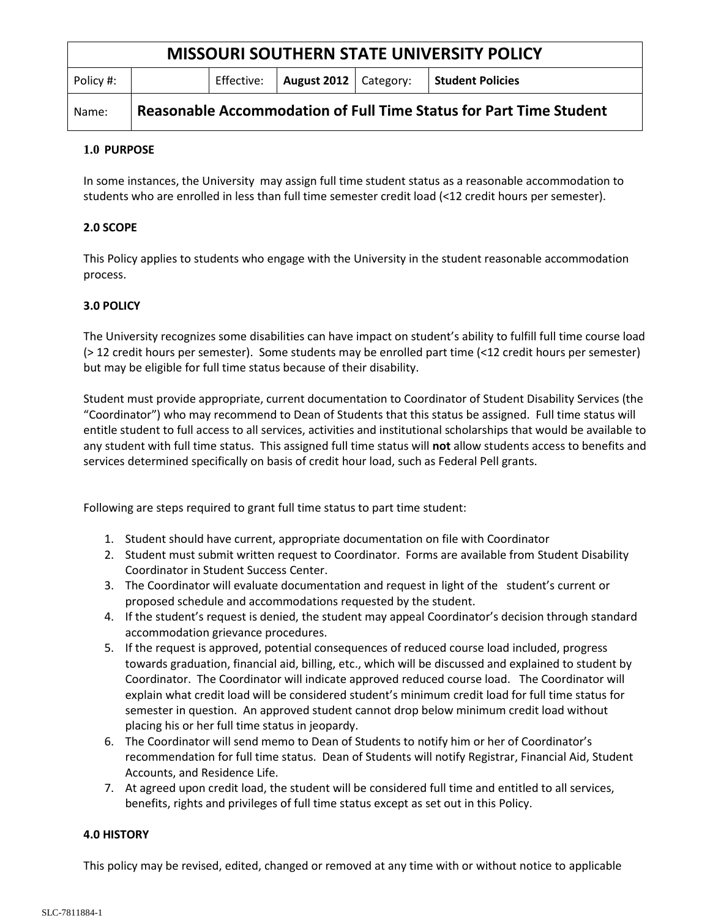| <b>MISSOURI SOUTHERN STATE UNIVERSITY POLICY</b> |                                                                           |            |                         |  |                         |
|--------------------------------------------------|---------------------------------------------------------------------------|------------|-------------------------|--|-------------------------|
| Policy #:                                        |                                                                           | Effective: | August 2012   Category: |  | <b>Student Policies</b> |
| Name:                                            | <b>Reasonable Accommodation of Full Time Status for Part Time Student</b> |            |                         |  |                         |

### **1.0 PURPOSE**

In some instances, the University may assign full time student status as a reasonable accommodation to students who are enrolled in less than full time semester credit load (<12 credit hours per semester).

## **2.0 SCOPE**

This Policy applies to students who engage with the University in the student reasonable accommodation process.

## **3.0 POLICY**

The University recognizes some disabilities can have impact on student's ability to fulfill full time course load (> 12 credit hours per semester). Some students may be enrolled part time (<12 credit hours per semester) but may be eligible for full time status because of their disability.

Student must provide appropriate, current documentation to Coordinator of Student Disability Services (the "Coordinator") who may recommend to Dean of Students that this status be assigned. Full time status will entitle student to full access to all services, activities and institutional scholarships that would be available to any student with full time status. This assigned full time status will **not** allow students access to benefits and services determined specifically on basis of credit hour load, such as Federal Pell grants.

Following are steps required to grant full time status to part time student:

- 1. Student should have current, appropriate documentation on file with Coordinator
- 2. Student must submit written request to Coordinator. Forms are available from Student Disability Coordinator in Student Success Center.
- 3. The Coordinator will evaluate documentation and request in light of the student's current or proposed schedule and accommodations requested by the student.
- 4. If the student's request is denied, the student may appeal Coordinator's decision through standard accommodation grievance procedures.
- 5. If the request is approved, potential consequences of reduced course load included, progress towards graduation, financial aid, billing, etc., which will be discussed and explained to student by Coordinator. The Coordinator will indicate approved reduced course load. The Coordinator will explain what credit load will be considered student's minimum credit load for full time status for semester in question. An approved student cannot drop below minimum credit load without placing his or her full time status in jeopardy.
- 6. The Coordinator will send memo to Dean of Students to notify him or her of Coordinator's recommendation for full time status. Dean of Students will notify Registrar, Financial Aid, Student Accounts, and Residence Life.
- 7. At agreed upon credit load, the student will be considered full time and entitled to all services, benefits, rights and privileges of full time status except as set out in this Policy.

### **4.0 HISTORY**

This policy may be revised, edited, changed or removed at any time with or without notice to applicable